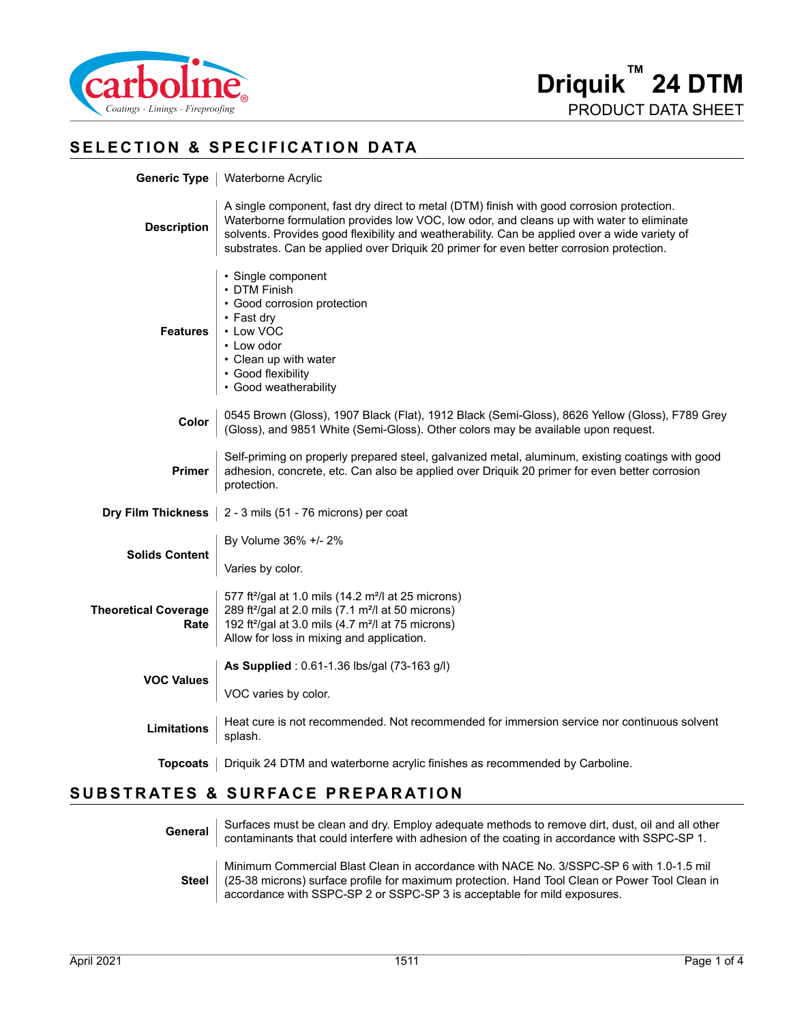

#### **SELECTION & SPECIFICATION DATA**

|  | Generic Type   Waterborne Acrylic |
|--|-----------------------------------|
|--|-----------------------------------|

| <b>Description</b>                  | A single component, fast dry direct to metal (DTM) finish with good corrosion protection.<br>Waterborne formulation provides low VOC, low odor, and cleans up with water to eliminate<br>solvents. Provides good flexibility and weatherability. Can be applied over a wide variety of<br>substrates. Can be applied over Driquik 20 primer for even better corrosion protection. |  |
|-------------------------------------|-----------------------------------------------------------------------------------------------------------------------------------------------------------------------------------------------------------------------------------------------------------------------------------------------------------------------------------------------------------------------------------|--|
| <b>Features</b>                     | • Single component<br>• DTM Finish<br>• Good corrosion protection<br>$\cdot$ Fast dry<br>• Low VOC<br>• Low odor<br>• Clean up with water<br>• Good flexibility<br>• Good weatherability                                                                                                                                                                                          |  |
| Color                               | 0545 Brown (Gloss), 1907 Black (Flat), 1912 Black (Semi-Gloss), 8626 Yellow (Gloss), F789 Grey (Gloss), and 9851 White (Semi-Gloss). Other colors may be available upon request.                                                                                                                                                                                                  |  |
| <b>Primer</b>                       | Self-priming on properly prepared steel, galvanized metal, aluminum, existing coatings with good<br>adhesion, concrete, etc. Can also be applied over Driquik 20 primer for even better corrosion<br>protection.                                                                                                                                                                  |  |
|                                     | <b>Dry Film Thickness</b> $\vert$ 2 - 3 mils (51 - 76 microns) per coat                                                                                                                                                                                                                                                                                                           |  |
| <b>Solids Content</b>               | By Volume 36% +/- 2%                                                                                                                                                                                                                                                                                                                                                              |  |
|                                     | Varies by color.                                                                                                                                                                                                                                                                                                                                                                  |  |
| <b>Theoretical Coverage</b><br>Rate | 577 ft <sup>2</sup> /gal at 1.0 mils (14.2 m <sup>2</sup> /l at 25 microns)<br>289 ft <sup>2</sup> /gal at 2.0 mils (7.1 m <sup>2</sup> /l at 50 microns)<br>192 ft <sup>2</sup> /gal at 3.0 mils (4.7 m <sup>2</sup> /l at 75 microns)<br>Allow for loss in mixing and application.                                                                                              |  |
| <b>VOC Values</b>                   | As Supplied: 0.61-1.36 lbs/gal (73-163 g/l)                                                                                                                                                                                                                                                                                                                                       |  |
|                                     | VOC varies by color.                                                                                                                                                                                                                                                                                                                                                              |  |
| <b>Limitations</b>                  | Heat cure is not recommended. Not recommended for immersion service nor continuous solvent<br>splash.                                                                                                                                                                                                                                                                             |  |
|                                     | <b>Topcoats</b>   Driquik 24 DTM and waterborne acrylic finishes as recommended by Carboline.                                                                                                                                                                                                                                                                                     |  |

### **SUBSTRATES & SURFACE PREPARATION**

| General      | Surfaces must be clean and dry. Employ adequate methods to remove dirt, dust, oil and all other<br>contaminants that could interfere with adhesion of the coating in accordance with SSPC-SP 1.                                                                       |
|--------------|-----------------------------------------------------------------------------------------------------------------------------------------------------------------------------------------------------------------------------------------------------------------------|
| <b>Steel</b> | Minimum Commercial Blast Clean in accordance with NACE No. 3/SSPC-SP 6 with 1.0-1.5 mil<br>(25-38 microns) surface profile for maximum protection. Hand Tool Clean or Power Tool Clean in<br>accordance with SSPC-SP 2 or SSPC-SP 3 is acceptable for mild exposures. |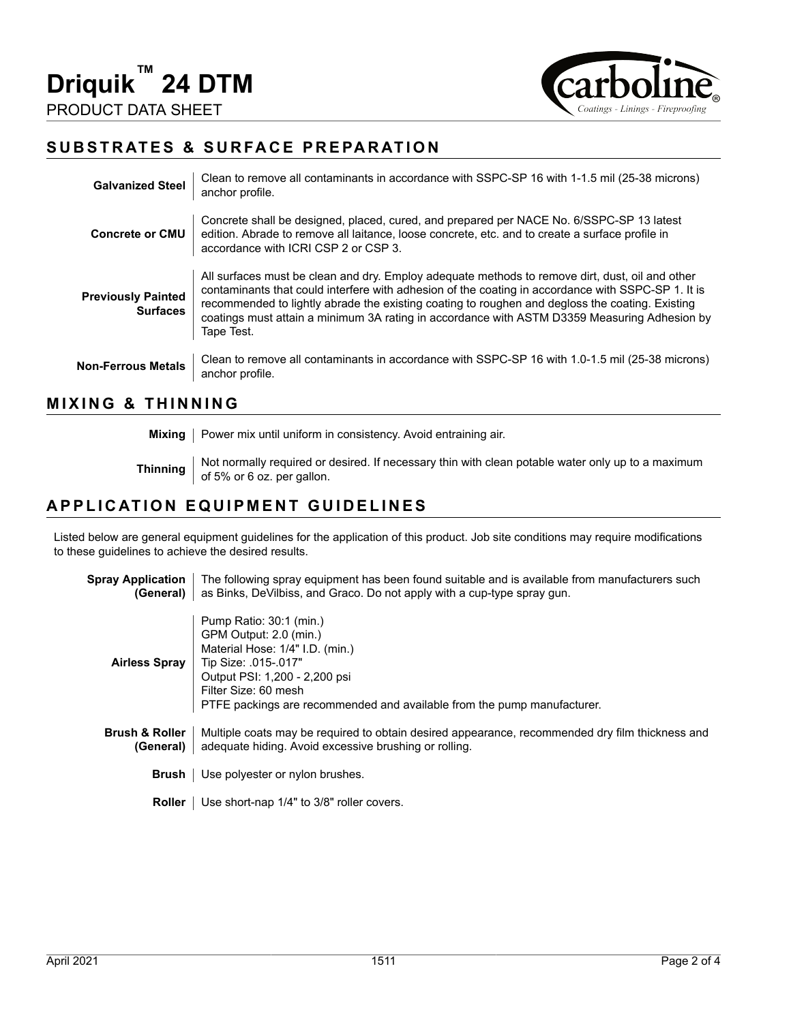

#### **SUBSTRATES & SURFACE PREPARATION**

| <b>Galvanized Steel</b>                      | Clean to remove all contaminants in accordance with SSPC-SP 16 with 1-1.5 mil (25-38 microns)<br>anchor profile.                                                                                                                                                                                                                                                                                                       |
|----------------------------------------------|------------------------------------------------------------------------------------------------------------------------------------------------------------------------------------------------------------------------------------------------------------------------------------------------------------------------------------------------------------------------------------------------------------------------|
| <b>Concrete or CMU</b>                       | Concrete shall be designed, placed, cured, and prepared per NACE No. 6/SSPC-SP 13 latest<br>edition. Abrade to remove all laitance, loose concrete, etc. and to create a surface profile in<br>accordance with ICRI CSP 2 or CSP 3.                                                                                                                                                                                    |
| <b>Previously Painted</b><br><b>Surfaces</b> | All surfaces must be clean and dry. Employ adequate methods to remove dirt, dust, oil and other<br>contaminants that could interfere with adhesion of the coating in accordance with SSPC-SP 1. It is<br>recommended to lightly abrade the existing coating to roughen and degloss the coating. Existing<br>coatings must attain a minimum 3A rating in accordance with ASTM D3359 Measuring Adhesion by<br>Tape Test. |
| <b>Non-Ferrous Metals</b>                    | Clean to remove all contaminants in accordance with SSPC-SP 16 with 1.0-1.5 mil (25-38 microns)<br>anchor profile.                                                                                                                                                                                                                                                                                                     |

#### **MIXING & THINNING**

**Mixing** | Power mix until uniform in consistency. Avoid entraining air.

**Thinning** Not normally required or desired. If necessary thin with clean potable water only up to a maximum of 5% or 6 oz. per gallon.

#### **APPLICATION EQUIPMENT GUIDELINES**

Listed below are general equipment guidelines for the application of this product. Job site conditions may require modifications to these guidelines to achieve the desired results.

| <b>Spray Application</b><br>(General)  | The following spray equipment has been found suitable and is available from manufacturers such<br>as Binks, DeVilbiss, and Graco. Do not apply with a cup-type spray gun.                                                                        |
|----------------------------------------|--------------------------------------------------------------------------------------------------------------------------------------------------------------------------------------------------------------------------------------------------|
| Airless Spray                          | Pump Ratio: 30:1 (min.)<br>GPM Output: 2.0 (min.)<br>Material Hose: 1/4" I.D. (min.)<br>Tip Size: .015-.017"<br>Output PSI: 1,200 - 2,200 psi<br>Filter Size: 60 mesh<br>PTFE packings are recommended and available from the pump manufacturer. |
| <b>Brush &amp; Roller</b><br>(General) | Multiple coats may be required to obtain desired appearance, recommended dry film thickness and<br>adequate hiding. Avoid excessive brushing or rolling.                                                                                         |
| Brush                                  | Use polyester or nylon brushes.                                                                                                                                                                                                                  |
| <b>Roller</b>                          | Use short-nap 1/4" to 3/8" roller covers.                                                                                                                                                                                                        |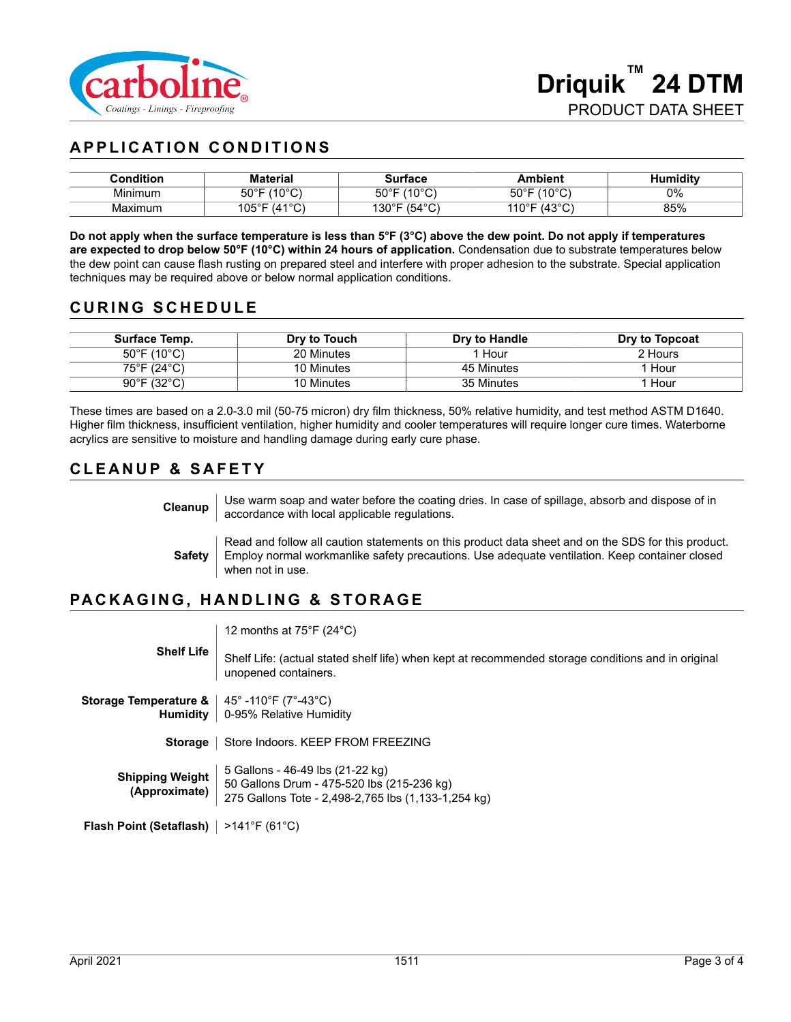

## **APPLICATION CONDITIONS**

| Condition | <b>Material</b>                         | Surface                       | Ambient                           | Humiditv |
|-----------|-----------------------------------------|-------------------------------|-----------------------------------|----------|
| Minimum   | (10°C)<br>$50^{\circ}$ F                | (400C)<br>$50^{\circ}$ F<br>◡ | $(10^{\circ}$ C<br>$50^{\circ}$ F | 0%       |
| Maximum   | $(41^{\circ}C)$<br>$105^{\circ}$ F<br>◡ | $(54^{\circ}C)$<br>130°F      | (A3°C)<br>$110^{\circ}$ F<br>U.   | 85%      |

**Do not apply when the surface temperature is less than 5°F (3°C) above the dew point. Do not apply if temperatures are expected to drop below 50°F (10°C) within 24 hours of application.** Condensation due to substrate temperatures below the dew point can cause flash rusting on prepared steel and interfere with proper adhesion to the substrate. Special application techniques may be required above or below normal application conditions.

#### **CURING SCHEDULE**

| Surface Temp.                    | Dry to Touch | Dry to Handle | Dry to Topcoat |
|----------------------------------|--------------|---------------|----------------|
| $50^{\circ}$ F (10 $^{\circ}$ C) | 20 Minutes   | . Hour        | 2 Hours        |
| 75°F (24°C)                      | 10 Minutes   | 45 Minutes    | Hour           |
| $90^{\circ}$ F (32 $^{\circ}$ C) | 10 Minutes   | 35 Minutes    | . Hour         |

These times are based on a 2.0-3.0 mil (50-75 micron) dry film thickness, 50% relative humidity, and test method ASTM D1640. Higher film thickness, insufficient ventilation, higher humidity and cooler temperatures will require longer cure times. Waterborne acrylics are sensitive to moisture and handling damage during early cure phase.

#### **CLEANUP & SAFETY**

| Cleanup       | Use warm soap and water before the coating dries. In case of spillage, absorb and dispose of in<br>accordance with local applicable regulations.                                                                        |
|---------------|-------------------------------------------------------------------------------------------------------------------------------------------------------------------------------------------------------------------------|
| <b>Safety</b> | Read and follow all caution statements on this product data sheet and on the SDS for this product.<br>Employ normal workmanlike safety precautions. Use adequate ventilation. Keep container closed<br>when not in use. |

#### **PACKAGING, HANDLING & STORAGE**

12 months at 75°F (24°C)

**Shelf Life** Shelf Life: (actual stated shelf life) when kept at recommended storage conditions and in original unopened containers.

**Storage Temperature &** 45° -110°F (7°-43°C) **Humidity** 0-95% Relative Humidity

**Storage** | Store Indoors. KEEP FROM FREEZING

**Shipping Weight (Approximate)** 5 Gallons - 46-49 lbs (21-22 kg) 50 Gallons Drum - 475-520 lbs (215-236 kg) 275 Gallons Tote - 2,498-2,765 lbs (1,133-1,254 kg)

**Flash Point (Setaflash)** >141°F (61°C)